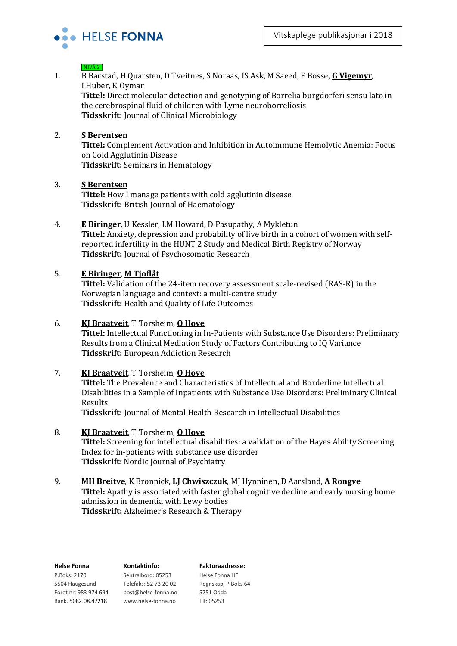

## $NIVÅ 2$

1. B Barstad, H Quarsten, D Tveitnes, S Noraas, IS Ask, M Saeed, F Bosse, **G Vigemyr**, I Huber, K Oymar

**Tittel:** Direct molecular detection and genotyping of Borrelia burgdorferi sensu lato in the cerebrospinal fluid of children with Lyme neuroborreliosis **Tidsskrift:** Journal of Clinical Microbiology

## 2. **S Berentsen**

**Tittel:** Complement Activation and Inhibition in Autoimmune Hemolytic Anemia: Focus on Cold Agglutinin Disease **Tidsskrift:** Seminars in Hematology

## 3. **S Berentsen**

**Tittel:** How I manage patients with cold agglutinin disease **Tidsskrift:** British Journal of Haematology

4. **E Biringer**, U Kessler, LM Howard, D Pasupathy, A Mykletun

**Tittel:** Anxiety, depression and probability of live birth in a cohort of women with selfreported infertility in the HUNT 2 Study and Medical Birth Registry of Norway **Tidsskrift:** Journal of Psychosomatic Research

## 5. **E Biringer**, **M Tjoflåt**

**Tittel:** Validation of the 24-item recovery assessment scale-revised (RAS-R) in the Norwegian language and context: a multi-centre study **Tidsskrift:** Health and Quality of Life Outcomes

## 6. **KJ Braatveit**, T Torsheim, **O Hove**

**Tittel:** Intellectual Functioning in In-Patients with Substance Use Disorders: Preliminary Results from a Clinical Mediation Study of Factors Contributing to IQ Variance **Tidsskrift:** European Addiction Research

## 7. **KJ Braatveit**, T Torsheim, **O Hove**

**Tittel:** The Prevalence and Characteristics of Intellectual and Borderline Intellectual Disabilities in a Sample of Inpatients with Substance Use Disorders: Preliminary Clinical Results

**Tidsskrift:** Journal of Mental Health Research in Intellectual Disabilities

## 8. **KJ Braatveit**, T Torsheim, **O Hove**

**Tittel:** Screening for intellectual disabilities: a validation of the Hayes Ability Screening Index for in-patients with substance use disorder **Tidsskrift:** Nordic Journal of Psychiatry

# 9. **MH Breitve**, K Bronnick, **LJ Chwiszczuk**, MJ Hynninen, D Aarsland, **A Rongve**

**Tittel:** Apathy is associated with faster global cognitive decline and early nursing home admission in dementia with Lewy bodies

**Tidsskrift:** Alzheimer's Research & Therapy

| <b>Helse Fonna</b>    | Kontaktinfo:          | <b>Fakturaadresse:</b> |  |
|-----------------------|-----------------------|------------------------|--|
| P.Boks: 2170          | Sentralbord: 05253    | Helse Fonna HF         |  |
| 5504 Haugesund        | Telefaks: 52 73 20 02 | Regnskap, P.Boks 64    |  |
| Foret.nr: 983 974 694 | post@helse-fonna.no   | 5751 Odda              |  |
| Bank. 5082.08.47218   | www.helse-fonna.no    | Tlf: 05253             |  |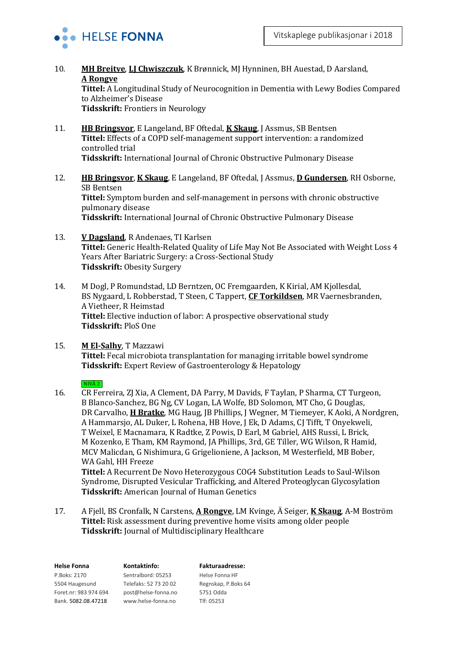

10. **MH Breitve**, **LJ Chwiszczuk**, K Brønnick, MJ Hynninen, BH Auestad, D Aarsland, **A Rongve**

**Tittel:** A Longitudinal Study of Neurocognition in Dementia with Lewy Bodies Compared to Alzheimer's Disease

**Tidsskrift:** Frontiers in Neurology

- 11. **HB Bringsvor**, E Langeland, BF Oftedal, **K Skaug**, J Assmus, SB Bentsen **Tittel:** Effects of a COPD self-management support intervention: a randomized controlled trial **Tidsskrift:** International Journal of Chronic Obstructive Pulmonary Disease
- 12. **HB Bringsvor**, **K Skaug**, E Langeland, BF Oftedal, J Assmus, **D Gundersen**, RH Osborne, SB Bentsen **Tittel:** Symptom burden and self-management in persons with chronic obstructive pulmonary disease **Tidsskrift:** International Journal of Chronic Obstructive Pulmonary Disease
- 13. **V Dagsland**, R Andenaes, TI Karlsen **Tittel:** Generic Health-Related Quality of Life May Not Be Associated with Weight Loss 4 Years After Bariatric Surgery: a Cross-Sectional Study **Tidsskrift:** Obesity Surgery
- 14. M Dogl, P Romundstad, LD Berntzen, OC Fremgaarden, K Kirial, AM Kjollesdal, BS Nygaard, L Robberstad, T Steen, C Tappert, **CF Torkildsen**, MR Vaernesbranden, A Vietheer, R Heimstad **Tittel:** Elective induction of labor: A prospective observational study **Tidsskrift:** PloS One
- 15. **M El-Salhy**, T Mazzawi **Tittel:** Fecal microbiota transplantation for managing irritable bowel syndrome **Tidsskrift:** Expert Review of Gastroenterology & Hepatology

## \_NIVÅ 2\_

- 16. CR Ferreira, ZJ Xia, A Clement, DA Parry, M Davids, F Taylan, P Sharma, CT Turgeon, B Blanco-Sanchez, BG Ng, CV Logan, LA Wolfe, BD Solomon, MT Cho, G Douglas, DR Carvalho, **H Bratke**, MG Haug, JB Phillips, J Wegner, M Tiemeyer, K Aoki, A Nordgren, A Hammarsjo, AL Duker, L Rohena, HB Hove, J Ek, D Adams, CJ Tifft, T Onyekweli, T Weixel, E Macnamara, K Radtke, Z Powis, D Earl, M Gabriel, AHS Russi, L Brick, M Kozenko, E Tham, KM Raymond, JA Phillips, 3rd, GE Tiller, WG Wilson, R Hamid, MCV Malicdan, G Nishimura, G Grigelioniene, A Jackson, M Westerfield, MB Bober, WA Gahl, HH Freeze **Tittel:** A Recurrent De Novo Heterozygous COG4 Substitution Leads to Saul-Wilson Syndrome, Disrupted Vesicular Trafficking, and Altered Proteoglycan Glycosylation **Tidsskrift:** American Journal of Human Genetics
- 17. A Fjell, BS Cronfalk, N Carstens, **A Rongve**, LM Kvinge, Ä Seiger, **K Skaug**, A-M Boström **Tittel:** Risk assessment during preventive home visits among older people **Tidsskrift:** Journal of Multidisciplinary Healthcare

| Kontaktinfo:          | <b>Fakturaadresse:</b> |
|-----------------------|------------------------|
| Sentralbord: 05253    | Helse Fonna HF         |
| Telefaks: 52 73 20 02 | Regnskap, P.Boks 64    |
| post@helse-fonna.no   | 5751 Odda              |
| www.helse-fonna.no    | Tlf: 05253             |
|                       |                        |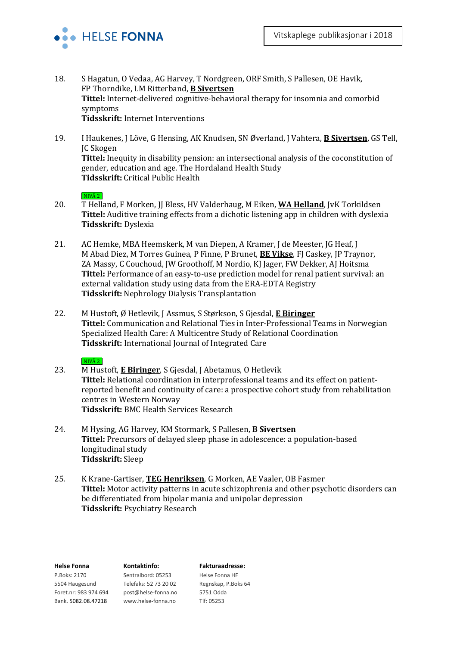

- 18. S Hagatun, O Vedaa, AG Harvey, T Nordgreen, ORF Smith, S Pallesen, OE Havik, FP Thorndike, LM Ritterband, **B Sivertsen Tittel:** Internet-delivered cognitive-behavioral therapy for insomnia and comorbid symptoms **Tidsskrift:** Internet Interventions
- 19. I Haukenes, J Löve, G Hensing, AK Knudsen, SN Øverland, J Vahtera, **B Sivertsen**, GS Tell, JC Skogen **Tittel:** Inequity in disability pension: an intersectional analysis of the coconstitution of gender, education and age. The Hordaland Health Study **Tidsskrift:** Critical Public Health

## $NIVÅ 2$

- 20. T Helland, F Morken, JJ Bless, HV Valderhaug, M Eiken, WA Helland, JvK Torkildsen **Tittel:** Auditive training effects from a dichotic listening app in children with dyslexia **Tidsskrift:** Dyslexia
- 21. AC Hemke, MBA Heemskerk, M van Diepen, A Kramer, J de Meester, JG Heaf, J M Abad Diez, M Torres Guinea, P Finne, P Brunet, **BE Vikse**, FJ Caskey, JP Traynor, ZA Massy, C Couchoud, JW Groothoff, M Nordio, KJ Jager, FW Dekker, AJ Hoitsma **Tittel:** Performance of an easy-to-use prediction model for renal patient survival: an external validation study using data from the ERA-EDTA Registry **Tidsskrift:** Nephrology Dialysis Transplantation
- 22. M Hustoft, Ø Hetlevik, J Assmus, S Størkson, S Gjesdal, **E Biringer Tittel:** Communication and Relational Ties in Inter-Professional Teams in Norwegian Specialized Health Care: A Multicentre Study of Relational Coordination **Tidsskrift:** International Journal of Integrated Care

#### $NIVÅ 2$

- 23. M Hustoft, **E Biringer**, S Gjesdal, J Abetamus, O Hetlevik **Tittel:** Relational coordination in interprofessional teams and its effect on patientreported benefit and continuity of care: a prospective cohort study from rehabilitation centres in Western Norway **Tidsskrift:** BMC Health Services Research
- 24. M Hysing, AG Harvey, KM Stormark, S Pallesen, **B Sivertsen Tittel:** Precursors of delayed sleep phase in adolescence: a population-based longitudinal study **Tidsskrift:** Sleep
- 25. K Krane-Gartiser, **TEG Henriksen**, G Morken, AE Vaaler, OB Fasmer **Tittel:** Motor activity patterns in acute schizophrenia and other psychotic disorders can be differentiated from bipolar mania and unipolar depression **Tidsskrift:** Psychiatry Research

| <b>Helse Fonna</b>    | Kontaktinfo:          | <b>Fakturaadresse:</b> |
|-----------------------|-----------------------|------------------------|
| P.Boks: 2170          | Sentralbord: 05253    | Helse Fonna HF         |
| 5504 Haugesund        | Telefaks: 52 73 20 02 | Regnskap, P.Boks 64    |
| Foret.nr: 983 974 694 | post@helse-fonna.no   | 5751 Odda              |
| Bank. 5082.08.47218   | www.helse-fonna.no    | Tlf: 05253             |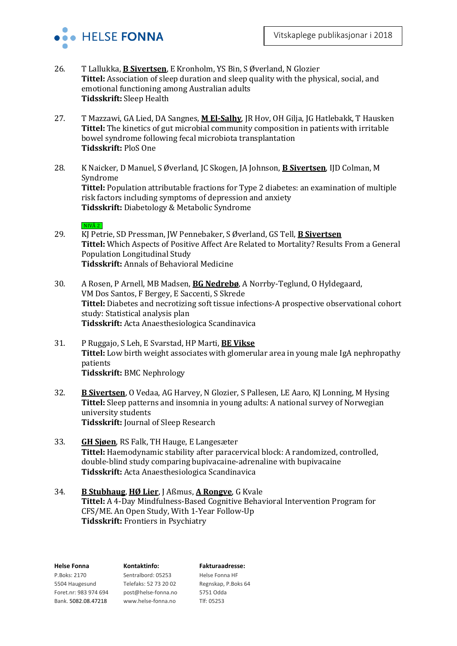

- 26. T Lallukka, **B Sivertsen**, E Kronholm, YS Bin, S Øverland, N Glozier **Tittel:** Association of sleep duration and sleep quality with the physical, social, and emotional functioning among Australian adults **Tidsskrift:** Sleep Health
- 27. T Mazzawi, GA Lied, DA Sangnes, **M El-Salhy**, JR Hov, OH Gilja, JG Hatlebakk, T Hausken **Tittel:** The kinetics of gut microbial community composition in patients with irritable bowel syndrome following fecal microbiota transplantation **Tidsskrift:** PloS One
- 28. K Naicker, D Manuel, S Øverland, JC Skogen, JA Johnson, **B Sivertsen**, IJD Colman, M Syndrome **Tittel:** Population attributable fractions for Type 2 diabetes: an examination of multiple risk factors including symptoms of depression and anxiety **Tidsskrift:** Diabetology & Metabolic Syndrome

#### $NIVÅ 2$

- 29. KJ Petrie, SD Pressman, JW Pennebaker, S Øverland, GS Tell, **B Sivertsen Tittel:** Which Aspects of Positive Affect Are Related to Mortality? Results From a General Population Longitudinal Study **Tidsskrift:** Annals of Behavioral Medicine
- 30. A Rosen, P Arnell, MB Madsen, **BG Nedrebø**, A Norrby-Teglund, O Hyldegaard, VM Dos Santos, F Bergey, E Saccenti, S Skrede **Tittel:** Diabetes and necrotizing soft tissue infections-A prospective observational cohort study: Statistical analysis plan **Tidsskrift:** Acta Anaesthesiologica Scandinavica
- 31. P Ruggajo, S Leh, E Svarstad, HP Marti, **BE Vikse Tittel:** Low birth weight associates with glomerular area in young male IgA nephropathy patients **Tidsskrift:** BMC Nephrology
- 32. **B Sivertsen**, O Vedaa, AG Harvey, N Glozier, S Pallesen, LE Aaro, KJ Lonning, M Hysing **Tittel:** Sleep patterns and insomnia in young adults: A national survey of Norwegian university students **Tidsskrift:** Journal of Sleep Research
- 33. **GH Sjøen**, RS Falk, TH Hauge, E Langesæter **Tittel:** Haemodynamic stability after paracervical block: A randomized, controlled, double-blind study comparing bupivacaine-adrenaline with bupivacaine **Tidsskrift:** Acta Anaesthesiologica Scandinavica
- 34. **B Stubhaug**, **HØ Lier**, J Aßmus, **A Rongve**, G Kvale **Tittel:** A 4-Day Mindfulness-Based Cognitive Behavioral Intervention Program for CFS/ME. An Open Study, With 1-Year Follow-Up **Tidsskrift:** Frontiers in Psychiatry

| <b>Helse Fonna</b>    | Kontaktinfo:          | <b>Fakturaadresse:</b> |
|-----------------------|-----------------------|------------------------|
| P.Boks: 2170          | Sentralbord: 05253    | Helse Fonna HF         |
| 5504 Haugesund        | Telefaks: 52 73 20 02 | Regnskap, P.Boks 64    |
| Foret.nr: 983 974 694 | post@helse-fonna.no   | 5751 Odda              |
| Bank. 5082.08.47218   | www.helse-fonna.no    | Tlf: 05253             |